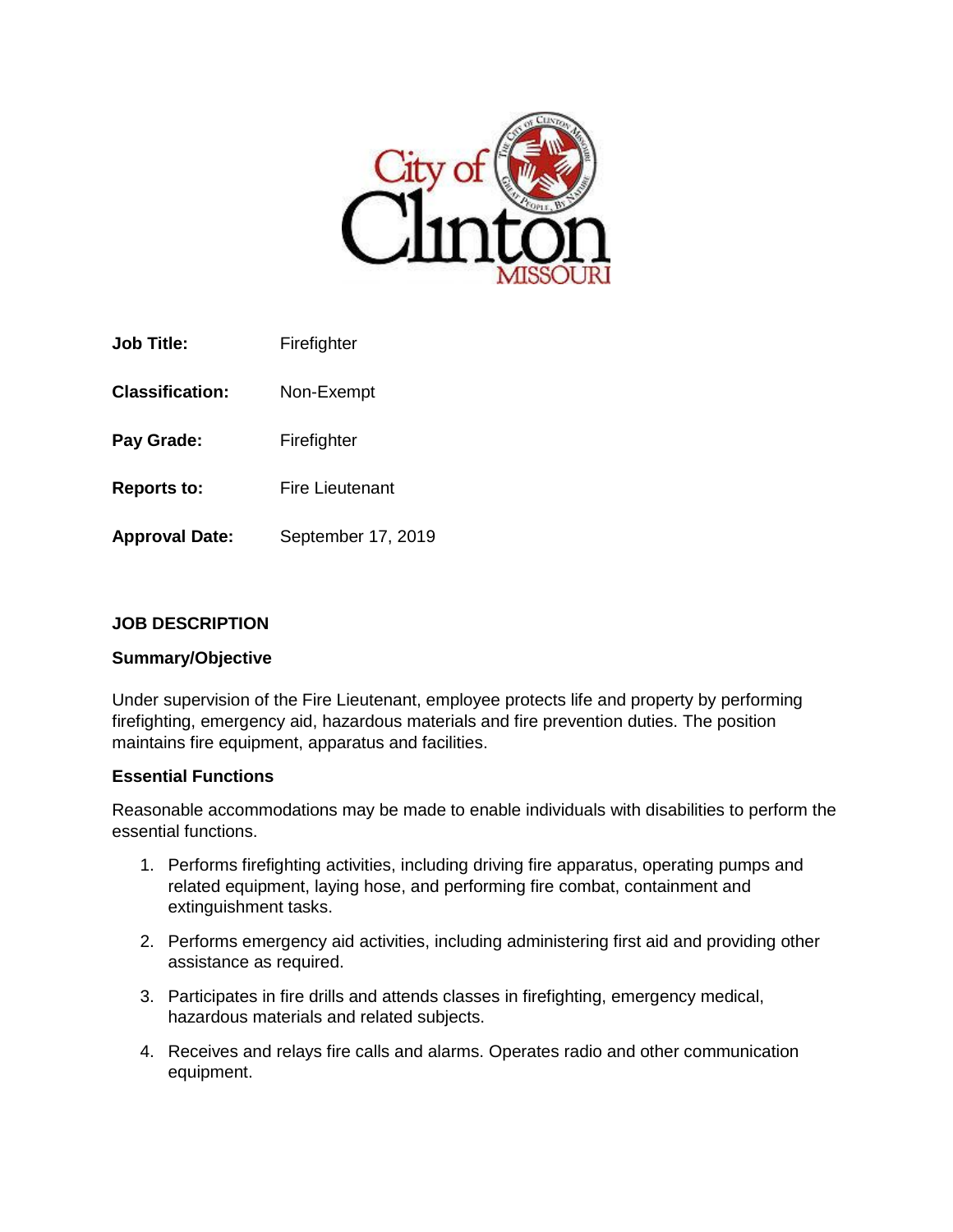

| Job Title:             | Firefighter        |
|------------------------|--------------------|
| <b>Classification:</b> | Non-Exempt         |
| Pay Grade:             | Firefighter        |
| <b>Reports to:</b>     | Fire Lieutenant    |
| <b>Approval Date:</b>  | September 17, 2019 |

## **JOB DESCRIPTION**

### **Summary/Objective**

Under supervision of the Fire Lieutenant, employee protects life and property by performing firefighting, emergency aid, hazardous materials and fire prevention duties. The position maintains fire equipment, apparatus and facilities.

#### **Essential Functions**

Reasonable accommodations may be made to enable individuals with disabilities to perform the essential functions.

- 1. Performs firefighting activities, including driving fire apparatus, operating pumps and related equipment, laying hose, and performing fire combat, containment and extinguishment tasks.
- 2. Performs emergency aid activities, including administering first aid and providing other assistance as required.
- 3. Participates in fire drills and attends classes in firefighting, emergency medical, hazardous materials and related subjects.
- 4. Receives and relays fire calls and alarms. Operates radio and other communication equipment.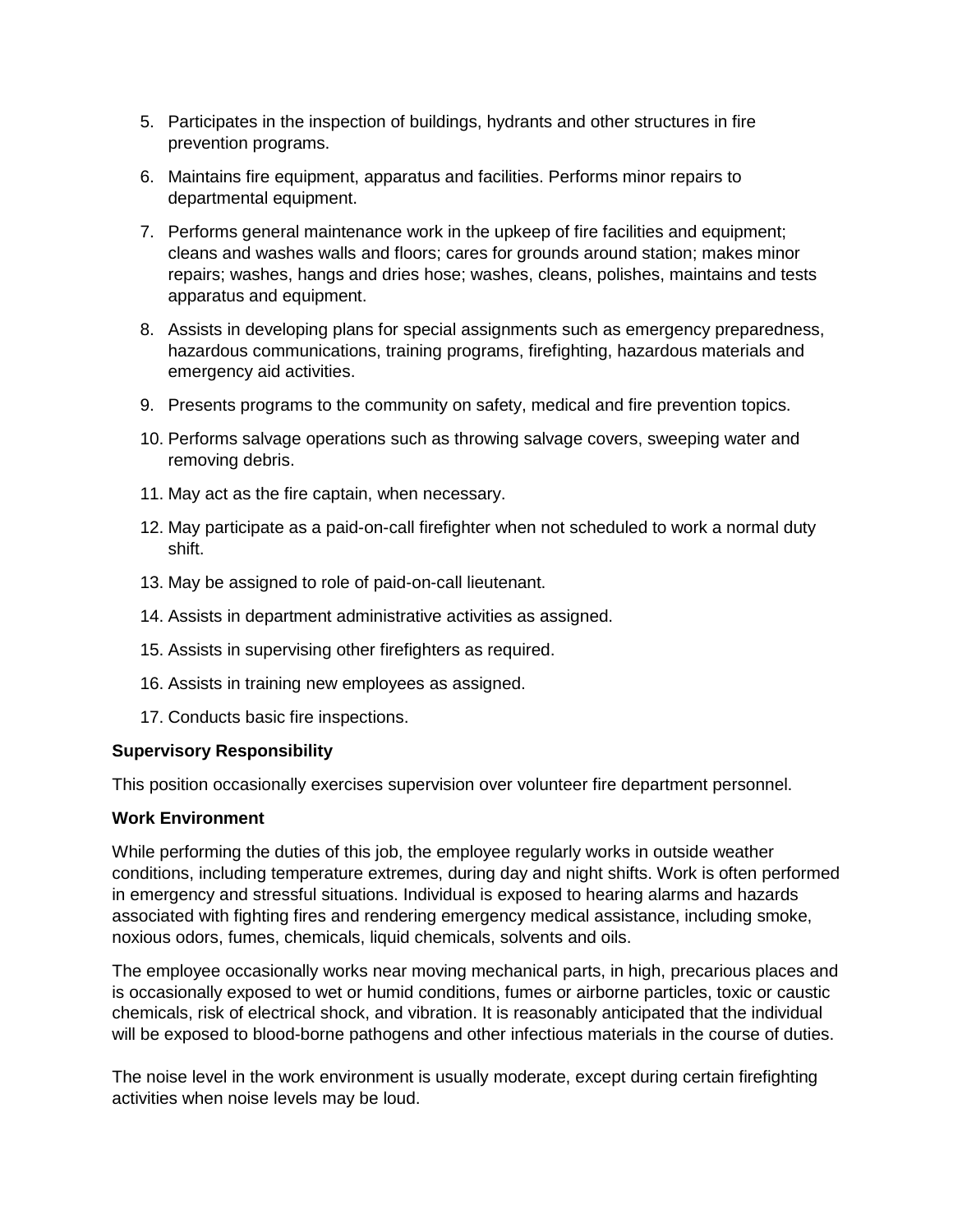- 5. Participates in the inspection of buildings, hydrants and other structures in fire prevention programs.
- 6. Maintains fire equipment, apparatus and facilities. Performs minor repairs to departmental equipment.
- 7. Performs general maintenance work in the upkeep of fire facilities and equipment; cleans and washes walls and floors; cares for grounds around station; makes minor repairs; washes, hangs and dries hose; washes, cleans, polishes, maintains and tests apparatus and equipment.
- 8. Assists in developing plans for special assignments such as emergency preparedness, hazardous communications, training programs, firefighting, hazardous materials and emergency aid activities.
- 9. Presents programs to the community on safety, medical and fire prevention topics.
- 10. Performs salvage operations such as throwing salvage covers, sweeping water and removing debris.
- 11. May act as the fire captain, when necessary.
- 12. May participate as a paid-on-call firefighter when not scheduled to work a normal duty shift.
- 13. May be assigned to role of paid-on-call lieutenant.
- 14. Assists in department administrative activities as assigned.
- 15. Assists in supervising other firefighters as required.
- 16. Assists in training new employees as assigned.
- 17. Conducts basic fire inspections.

### **Supervisory Responsibility**

This position occasionally exercises supervision over volunteer fire department personnel.

### **Work Environment**

While performing the duties of this job, the employee regularly works in outside weather conditions, including temperature extremes, during day and night shifts. Work is often performed in emergency and stressful situations. Individual is exposed to hearing alarms and hazards associated with fighting fires and rendering emergency medical assistance, including smoke, noxious odors, fumes, chemicals, liquid chemicals, solvents and oils.

The employee occasionally works near moving mechanical parts, in high, precarious places and is occasionally exposed to wet or humid conditions, fumes or airborne particles, toxic or caustic chemicals, risk of electrical shock, and vibration. It is reasonably anticipated that the individual will be exposed to blood-borne pathogens and other infectious materials in the course of duties.

The noise level in the work environment is usually moderate, except during certain firefighting activities when noise levels may be loud.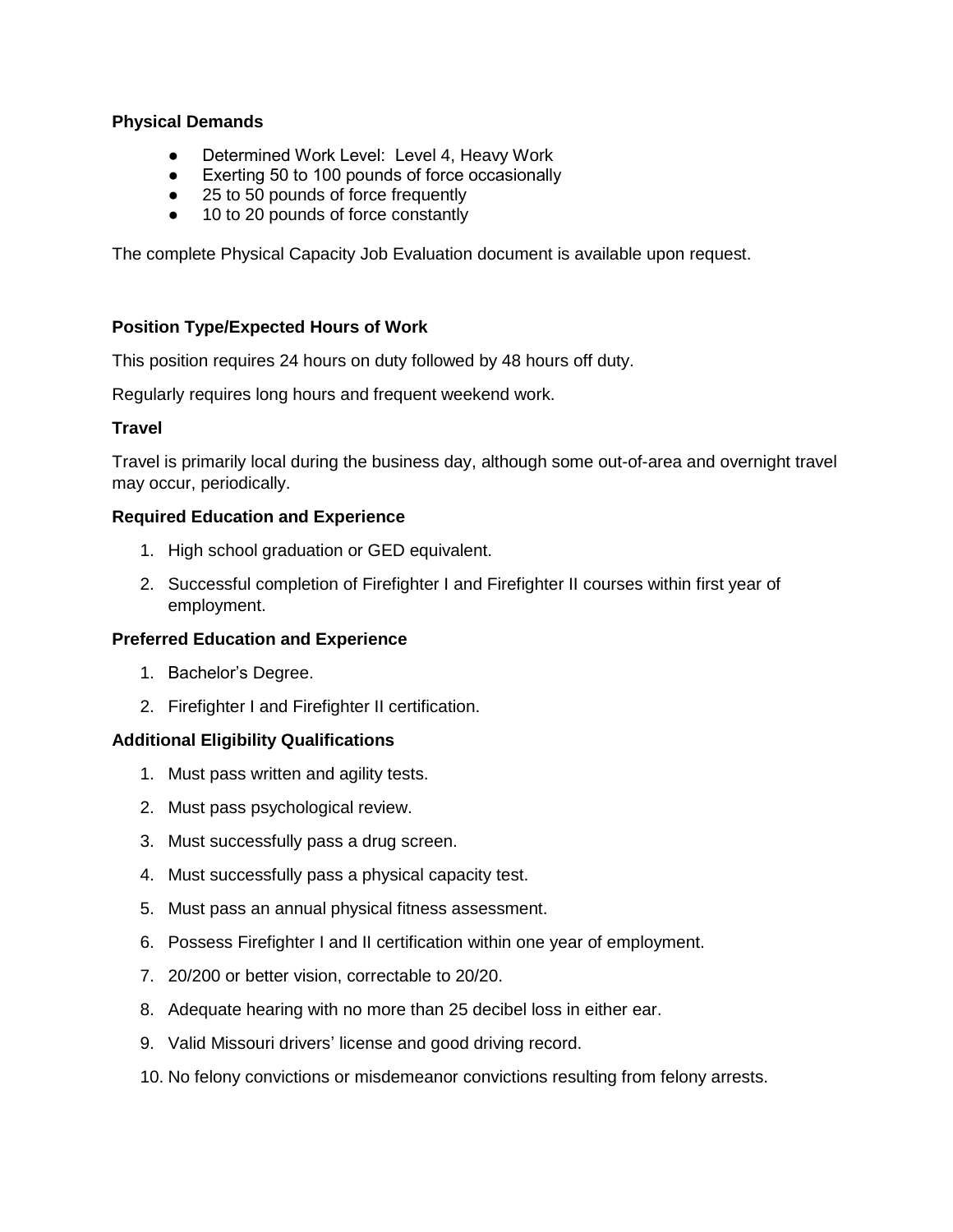### **Physical Demands**

- Determined Work Level: Level 4, Heavy Work
- Exerting 50 to 100 pounds of force occasionally
- 25 to 50 pounds of force frequently
- 10 to 20 pounds of force constantly

The complete Physical Capacity Job Evaluation document is available upon request.

### **Position Type/Expected Hours of Work**

This position requires 24 hours on duty followed by 48 hours off duty.

Regularly requires long hours and frequent weekend work.

### **Travel**

Travel is primarily local during the business day, although some out-of-area and overnight travel may occur, periodically.

### **Required Education and Experience**

- 1. High school graduation or GED equivalent.
- 2. Successful completion of Firefighter I and Firefighter II courses within first year of employment.

### **Preferred Education and Experience**

- 1. Bachelor's Degree.
- 2. Firefighter I and Firefighter II certification.

# **Additional Eligibility Qualifications**

- 1. Must pass written and agility tests.
- 2. Must pass psychological review.
- 3. Must successfully pass a drug screen.
- 4. Must successfully pass a physical capacity test.
- 5. Must pass an annual physical fitness assessment.
- 6. Possess Firefighter I and II certification within one year of employment.
- 7. 20/200 or better vision, correctable to 20/20.
- 8. Adequate hearing with no more than 25 decibel loss in either ear.
- 9. Valid Missouri drivers' license and good driving record.
- 10. No felony convictions or misdemeanor convictions resulting from felony arrests.